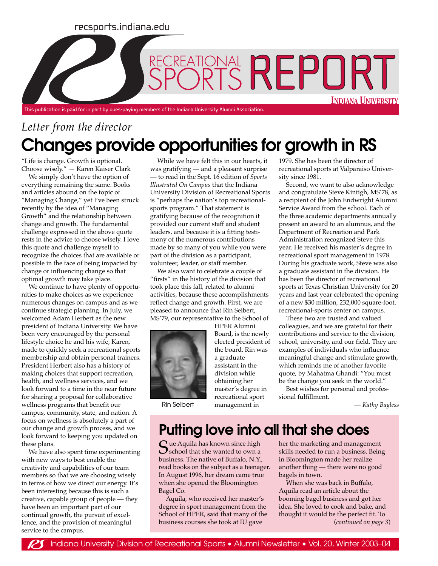#### recsports.indiana.edu

# RECREATIONAL REPORT **INDIANA UNIVERSITY** This publication is paid for in part by dues-paying members of the Indiana University Alumni Association.

## *Letter from the director* **Changes provide opportunities for growth in RS**

"Life is change. Growth is optional. Choose wisely." *—* Karen Kaiser Clark

We simply don't have the option of everything remaining the same. Books and articles abound on the topic of "Managing Change," yet I've been struck recently by the idea of "Managing Growth" and the relationship between change and growth. The fundamental challenge expressed in the above quote rests in the advice to choose wisely. I love this quote and challenge myself to recognize the choices that are available or possible in the face of being impacted by change or influencing change so that optimal growth may take place.

We continue to have plenty of opportunities to make choices as we experience numerous changes on campus and as we continue strategic planning. In July, we welcomed Adam Herbert as the new president of Indiana University. We have been very encouraged by the personal lifestyle choice he and his wife, Karen, made to quickly seek a recreational sports membership and obtain personal trainers. President Herbert also has a history of making choices that support recreation, health, and wellness services, and we look forward to a time in the near future for sharing a proposal for collaborative wellness programs that benefit our campus, community, state, and nation. A focus on wellness is absolutely a part of our change and growth process, and we look forward to keeping you updated on these plans.

We have also spent time experimenting with new ways to best enable the creativity and capabilities of our team members so that we are choosing wisely in terms of how we direct our energy. It's been interesting because this is such a creative, capable group of people — they have been an important part of our continual growth, the pursuit of excellence, and the provision of meaningful service to the campus.

While we have felt this in our hearts, it was gratifying — and a pleasant surprise — to read in the Sept. 16 edition of *Sports Illustrated On Campus* that the Indiana University Division of Recreational Sports is "perhaps the nation's top recreationalsports program." That statement is gratifying because of the recognition it provided our current staff and student leaders, and because it is a fitting testimony of the numerous contributions made by so many of you while you were part of the division as a participant, volunteer, leader, or staff member.

We also want to celebrate a couple of "firsts" in the history of the division that took place this fall, related to alumni activities, because these accomplishments reflect change and growth. First, we are pleased to announce that Rin Seibert, MS'79, our representative to the School of



Rin Seibert

HPER Alumni Board, is the newly elected president of the board. Rin was a graduate assistant in the division while obtaining her master's degree in recreational sport management in

sity since 1981. Second, we want to also acknowledge and congratulate Steve Kintigh, MS'78, as

1979. She has been the director of recreational sports at Valparaiso Univer-

a recipient of the John Endwright Alumni Service Award from the school. Each of the three academic departments annually present an award to an alumnus, and the Department of Recreation and Park Administration recognized Steve this year. He received his master's degree in recreational sport management in 1978. During his graduate work, Steve was also a graduate assistant in the division. He has been the director of recreational sports at Texas Christian University for 20 years and last year celebrated the opening of a new \$30 million, 232,000 square-foot. recreational-sports center on campus.

These two are trusted and valued colleagues, and we are grateful for their contributions and service to the division, school, university, and our field. They are examples of individuals who influence meaningful change and stimulate growth, which reminds me of another favorite quote, by Mahatma Ghandi: "You must be the change you seek in the world."

Best wishes for personal and professional fulfillment.

— *Kathy Bayless*

## **Putting love into all that she does**

 $S$ ue Aquila has known since high<br>school that she wanted to own a<br>luginear. The nation of Buffels, N.Y. business. The native of Buffalo, N.Y., read books on the subject as a teenager. In August 1996, her dream came true when she opened the Bloomington Bagel Co.

Aquila, who received her master's degree in sport management from the School of HPER, said that many of the business courses she took at IU gave

her the marketing and management skills needed to run a business. Being in Bloomington made her realize another thing — there were no good bagels in town.

(*continued on page 3*) When she was back in Buffalo, Aquila read an article about the booming bagel business and got her idea. She loved to cook and bake, and thought it would be the perfect fit. To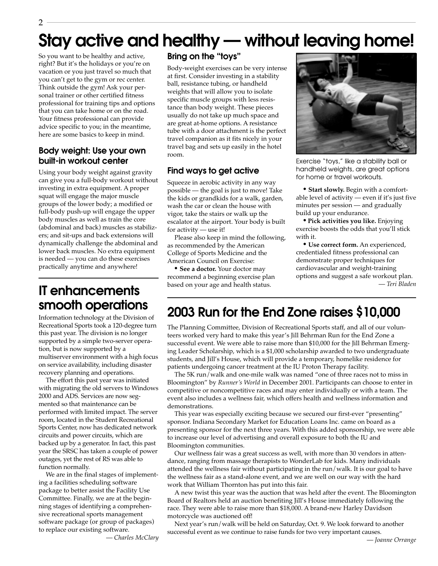#### 2

## **Stay active and healthy — without leaving home!**

So you want to be healthy and active, right? But it's the holidays or you're on vacation or you just travel so much that you can't get to the gym or rec center. Think outside the gym! Ask your personal trainer or other certified fitness professional for training tips and options that you can take home or on the road. Your fitness professional can provide advice specific to you; in the meantime, here are some basics to keep in mind.

#### **Body weight: Use your own built-in workout center**

Using your body weight against gravity can give you a full-body workout without investing in extra equipment. A proper squat will engage the major muscle groups of the lower body; a modified or full-body push-up will engage the upper body muscles as well as train the core (abdominal and back) muscles as stabilizers; and sit-ups and back extensions will dynamically challenge the abdominal and lower back muscles. No extra equipment is needed — you can do these exercises practically anytime and anywhere!

### **IT enhancements smooth operations**

Information technology at the Division of Recreational Sports took a 120-degree turn this past year. The division is no longer supported by a simple two-server operation, but is now supported by a multiserver environment with a high focus on service availability, including disaster recovery planning and operations.

The effort this past year was initiated with migrating the old servers to Windows 2000 and ADS. Services are now segmented so that maintenance can be performed with limited impact. The server room, located in the Student Recreational Sports Center, now has dedicated network circuits and power circuits, which are backed up by a generator. In fact, this past year the SRSC has taken a couple of power outages, yet the rest of RS was able to function normally.

We are in the final stages of implementing a facilities scheduling software package to better assist the Facility Use Committee. Finally, we are at the beginning stages of identifying a comprehensive recreational sports management software package (or group of packages) to replace our existing software.

— *Charles McClary*

#### **Bring on the "toys"**

Body-weight exercises can be very intense at first. Consider investing in a stability ball, resistance tubing, or handheld weights that will allow you to isolate specific muscle groups with less resistance than body weight. These pieces usually do not take up much space and are great at-home options. A resistance tube with a door attachment is the perfect travel companion as it fits nicely in your travel bag and sets up easily in the hotel room.

#### **Find ways to get active**

Squeeze in aerobic activity in any way possible — the goal is just to move! Take the kids or grandkids for a walk, garden, wash the car or clean the house with vigor, take the stairs or walk up the escalator at the airport. Your body is built for activity — use it!

Please also keep in mind the following, as recommended by the American College of Sports Medicine and the American Council on Exercise:

**• See a doctor.** Your doctor may recommend a beginning exercise plan based on your age and health status.



Exercise "toys," like a stability ball or handheld weights, are great options for home or travel workouts.

**• Start slowly.** Begin with a comfortable level of activity — even if it's just five minutes per session — and gradually build up your endurance.

**• Pick activities you like.** Enjoying exercise boosts the odds that you'll stick with it.

**• Use correct form.** An experienced, credentialed fitness professional can demonstrate proper techniques for cardiovascular and weight-training options and suggest a safe workout plan. — *Teri Bladen*

### **2003 Run for the End Zone raises \$10,000**

The Planning Committee, Division of Recreational Sports staff, and all of our volunteers worked very hard to make this year's Jill Behrman Run for the End Zone a successful event. We were able to raise more than \$10,000 for the Jill Behrman Emerging Leader Scholarship, which is a \$1,000 scholarship awarded to two undergraduate students, and Jill's House, which will provide a temporary, homelike residence for patients undergoing cancer treatment at the IU Proton Therapy facility.

The 5K run/walk and one-mile walk was named "one of three races not to miss in Bloomington" by *Runner's World* in December 2001. Participants can choose to enter in competitive or noncompetitive races and may enter individually or with a team. The event also includes a wellness fair, which offers health and wellness information and demonstrations.

This year was especially exciting because we secured our first-ever "presenting" sponsor. Indiana Secondary Market for Education Loans Inc. came on board as a presenting sponsor for the next three years. With this added sponsorship, we were able to increase our level of advertising and overall exposure to both the IU and Bloomington communities.

Our wellness fair was a great success as well, with more than 30 vendors in attendance, ranging from massage therapists to WonderLab for kids. Many individuals attended the wellness fair without participating in the run/walk. It is our goal to have the wellness fair as a stand-alone event, and we are well on our way with the hard work that William Thornton has put into this fair.

A new twist this year was the auction that was held after the event. The Bloomington Board of Realtors held an auction benefiting Jill's House immediately following the race. They were able to raise more than \$18,000. A brand-new Harley Davidson motorcycle was auctioned off!

Next year's run/walk will be held on Saturday, Oct. 9. We look forward to another successful event as we continue to raise funds for two very important causes.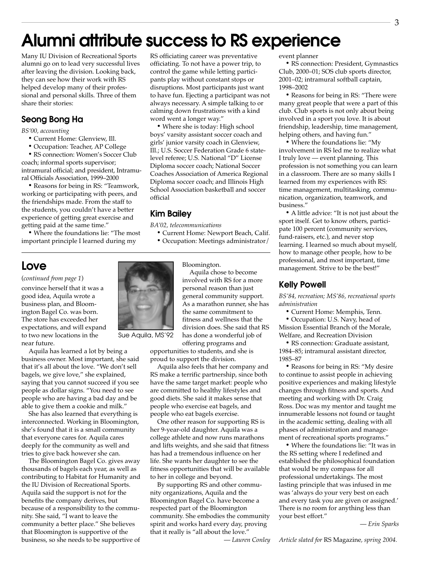## **Alumni attribute success to RS experience**

Many IU Division of Recreational Sports alumni go on to lead very successful lives after leaving the division. Looking back, they can see how their work with RS helped develop many of their professional and personal skills. Three of them share their stories:

#### **Seong Bong Ha**

*BS'00, accounting*

- Current Home: Glenview, Ill.
- Occupation: Teacher, AP College

• RS connection: Women's Soccer Club coach; informal sports supervisor; intramural official; and president, Intramural Officials Association, 1999–2000

• Reasons for being in RS: "Teamwork, working or participating with peers, and the friendships made. From the staff to the students, you couldn't have a better experience of getting great exercise and getting paid at the same time."

• Where the foundations lie: "The most important principle I learned during my

#### **Love**

#### (*continued from page 1*)

convince herself that it was a good idea, Aquila wrote a business plan, and Bloomington Bagel Co. was born. The store has exceeded her expectations, and will expand to two new locations in the near future.

Aquila has learned a lot by being a business owner. Most important, she said that it's all about the love. "We don't sell bagels, we give love," she explained, saying that you cannot succeed if you see people as dollar signs. "You need to see people who are having a bad day and be able to give them a cookie and milk."

She has also learned that everything is interconnected. Working in Bloomington, she's found that it is a small community that everyone cares for. Aquila cares deeply for the community as well and tries to give back however she can.

The Bloomington Bagel Co. gives away thousands of bagels each year, as well as contributing to Habitat for Humanity and the IU Division of Recreational Sports. Aquila said the support is not for the benefits the company derives, but because of a responsibility to the community. She said, "I want to leave the community a better place." She believes that Bloomington is supportive of the business, so she needs to be supportive of RS officiating career was preventative officiating. To not have a power trip, to control the game while letting participants play without constant stops or disruptions. Most participants just want to have fun. Ejecting a participant was not always necessary. A simple talking to or calming down frustrations with a kind word went a longer way."

• Where she is today: High school boys' varsity assistant soccer coach and girls' junior varsity coach in Glenview, Ill.; U.S. Soccer Federation Grade 6 statelevel referee; U.S. National "D" License Diploma soccer coach; National Soccer Coaches Association of America Regional Diploma soccer coach; and Illinois High School Association basketball and soccer official

#### **Kim Bailey**

*BA'02, telecommunications*

• Current Home: Newport Beach, Calif.

• Occupation: Meetings administrator/

Bloomington.

Aquila chose to become involved with RS for a more personal reason than just general community support. As a marathon runner, she has the same commitment to fitness and wellness that the division does. She said that RS has done a wonderful job of

offering programs and opportunities to students, and she is proud to support the division.

Aquila also feels that her company and RS make a terrific partnership, since both have the same target market: people who are committed to healthy lifestyles and good diets. She said it makes sense that people who exercise eat bagels, and people who eat bagels exercise.

One other reason for supporting RS is her 9-year-old daughter. Aquila was a college athlete and now runs marathons and lifts weights, and she said that fitness has had a tremendous influence on her life. She wants her daughter to see the fitness opportunities that will be available to her in college and beyond.

By supporting RS and other community organizations, Aquila and the Bloomington Bagel Co. have become a respected part of the Bloomington community. She embodies the community spirit and works hard every day, proving that it really is "all about the love."

event planner

• RS connection: President, Gymnastics Club, 2000–01; SOS club sports director, 2001–02; intramural softball captain, 1998–2002

• Reasons for being in RS: "There were many great people that were a part of this club. Club sports is not only about being involved in a sport you love. It is about friendship, leadership, time management, helping others, and having fun."

• Where the foundations lie: "My involvement in RS led me to realize what I truly love — event planning. This profession is not something you can learn in a classroom. There are so many skills I learned from my experiences with RS: time management, multitasking, communication, organization, teamwork, and business."

• A little advice: "It is not just about the sport itself. Get to know others, participate 100 percent (community services, fund-raisers, etc.), and never stop learning. I learned so much about myself, how to manage other people, how to be professional, and most important, time management. Strive to be the best!"

#### **Kelly Powell**

*BS'84, recreation; MS'86, recreational sports administration*

• Current Home: Memphis, Tenn.

• Occupation: U.S. Navy, head of Mission Essential Branch of the Morale, Welfare, and Recreation Division

• RS connection: Graduate assistant, 1984–85; intramural assistant director, 1985–87

• Reasons for being in RS: "My desire to continue to assist people in achieving positive experiences and making lifestyle changes through fitness and sports. And meeting and working with Dr. Craig Ross. Doc was my mentor and taught me innumerable lessons not found or taught in the academic setting, dealing with all phases of administration and management of recreational sports programs."

• Where the foundations lie: "It was in the RS setting where I redefined and established the philosophical foundation that would be my compass for all professional undertakings. The most lasting principle that was infused in me was 'always do your very best on each and every task you are given or assigned.' There is no room for anything less than your best effort."

— *Erin Sparks*



3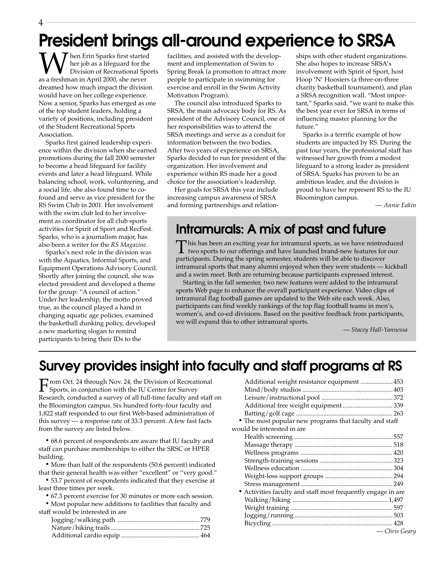## **President brings all-around experience to SRSA**

When Erin Sparks first started<br>Division of Recreational Spc<br>as a freshman in April 2000, she never her job as a lifeguard for the Division of Recreational Sports dreamed how much impact the division would have on her college experience. Now a senior, Sparks has emerged as one of the top student leaders, holding a variety of positions, including president of the Student Recreational Sports Association.

Sparks first gained leadership experience within the division when she earned promotions during the fall 2000 semester to become a head lifeguard for facility events and later a head lifeguard. While balancing school, work, volunteering, and a social life, she also found time to cofound and serve as vice president for the RS Swim Club in 2001. Her involvement with the swim club led to her involvement as coordinator for all club sports activities for Spirit of Sport and RecFest. Sparks, who is a journalism major, has also been a writer for the *RS Magazine*.

Sparks's next role in the division was with the Aquatics, Informal Sports, and Equipment Operations Advisory Council. Shortly after joining the council, she was elected president and developed a theme for the group: "A council of action." Under her leadership, the motto proved true, as the council played a hand in changing aquatic age policies, examined the basketball dunking policy, developed a new marketing slogan to remind participants to bring their IDs to the

facilities, and assisted with the development and implementation of Swim to Spring Break (a promotion to attract more people to participate in swimming for exercise and enroll in the Swim Activity Motivation Program).

The council also introduced Sparks to SRSA, the main advocacy body for RS. As president of the Advisory Council, one of her responsibilities was to attend the SRSA meetings and serve as a conduit for information between the two bodies. After two years of experience on SRSA, Sparks decided to run for president of the organization. Her involvement and experience within RS made her a good choice for the association's leadership.

Her goals for SRSA this year include increasing campus awareness of SRSA and forming partnerships and relationships with other student organizations. She also hopes to increase SRSA's involvement with Spirit of Sport, host Hoop 'N' Hoosiers (a three-on-three charity basketball tournament), and plan a SRSA recognition wall. "Most important," Sparks said, "we want to make this the best year ever for SRSA in terms of influencing master planning for the future."

Sparks is a terrific example of how students are impacted by RS. During the past four years, the professional staff has witnessed her growth from a modest lifeguard to a strong leader as president of SRSA. Sparks has proven to be an ambitious leader, and the division is proud to have her represent RS to the IU Bloomington campus.

— *Annie Eakin*

#### **Intramurals: A mix of past and future**

This has been an exciting year for intramural sports, as we have reintroduced<br>two sports to our offerings and have launched brand-new features for our<br>matigizents. During the angine agreeder at der to will be able to disco participants. During the spring semester, students will be able to discover intramural sports that many alumni enjoyed when they were students — kickball and a swim meet. Both are returning because participants expressed interest.

Starting in the fall semester, two new features were added to the intramural sports Web page to enhance the overall participant experience. Video clips of intramural flag football games are updated to the Web site each week. Also, participants can find weekly rankings of the top flag football teams in men's, women's, and co-ed divisions. Based on the positive feedback from participants, we will expand this to other intramural sports.

— *Stacey Hall-Yannessa*

### **Survey provides insight into faculty and staff programs at RS**

From Oct. 24 through Nov. 24, the Division of Recreational<br>Sports, in conjunction with the IU Center for Survey Research, conducted a survey of all full-time faculty and staff on the Bloomington campus. Six hundred forty-four faculty and 1,822 staff responded to our first Web-based administration of this survey — a response rate of 33.3 percent. A few fast facts from the survey are listed below.

• 68.6 percent of respondents are aware that IU faculty and staff can purchase memberships to either the SRSC or HPER building.

• More than half of the respondents (50.6 percent) indicated that their general health was either "excellent" or "very good."

• 53.7 percent of respondents indicated that they exercise at least three times per week.

• 67.3 percent exercise for 30 minutes or more each session.

• Most popular new additions to facilities that faculty and staff would be interested in are

| Additional weight resistance equipment  453                  |               |
|--------------------------------------------------------------|---------------|
|                                                              |               |
|                                                              |               |
| Additional free weight equipment  339                        |               |
|                                                              |               |
| • The most popular new programs that faculty and staff       |               |
| would be interested in are                                   |               |
|                                                              |               |
|                                                              |               |
|                                                              |               |
|                                                              |               |
|                                                              |               |
|                                                              |               |
|                                                              |               |
| • Activities faculty and staff most frequently engage in are |               |
|                                                              |               |
|                                                              |               |
|                                                              |               |
|                                                              |               |
|                                                              | — Chris Gearu |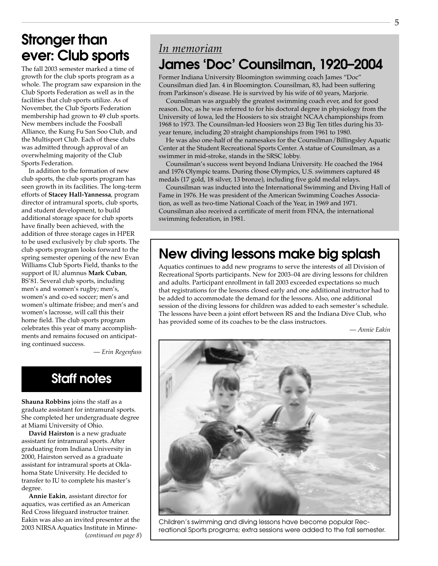### **Stronger than ever: Club sports**

The fall 2003 semester marked a time of growth for the club sports program as a whole. The program saw expansion in the Club Sports Federation as well as in the facilities that club sports utilize. As of November, the Club Sports Federation membership had grown to 49 club sports. New members include the Foosball Alliance, the Kung Fu San Soo Club, and the Multisport Club. Each of these clubs was admitted through approval of an overwhelming majority of the Club Sports Federation.

In addition to the formation of new club sports, the club sports program has seen growth in its facilities. The long-term efforts of **Stacey Hall-Yannessa**, program director of intramural sports, club sports, and student development, to build additional storage space for club sports have finally been achieved, with the addition of three storage cages in HPER to be used exclusively by club sports. The club sports program looks forward to the spring semester opening of the new Evan Williams Club Sports Field, thanks to the support of IU alumnus **Mark Cuban**, BS'81. Several club sports, including men's and women's rugby; men's, women's and co-ed soccer; men's and women's ultimate frisbee; and men's and women's lacrosse, will call this their home field. The club sports program celebrates this year of many accomplishments and remains focused on anticipating continued success.

— *Erin Regenfuss*

### **Staff notes**

**Shauna Robbins** joins the staff as a graduate assistant for intramural sports. She completed her undergraduate degree at Miami University of Ohio.

**David Hairston** is a new graduate assistant for intramural sports. After graduating from Indiana University in 2000, Hairston served as a graduate assistant for intramural sports at Oklahoma State University. He decided to transfer to IU to complete his master's degree.

**Annie Eakin**, assistant director for aquatics, was certified as an American Red Cross lifeguard instructor trainer. Eakin was also an invited presenter at the 2003 NIRSA Aquatics Institute in Minne-(*continued on page 8*)

### *In memoriam* **James 'Doc' Counsilman, 1920–2004**

Former Indiana University Bloomington swimming coach James "Doc" Counsilman died Jan. 4 in Bloomington. Counsilman, 83, had been suffering from Parkinson's disease. He is survived by his wife of 60 years, Marjorie.

Counsilman was arguably the greatest swimming coach ever, and for good reason. Doc, as he was referred to for his doctoral degree in physiology from the University of Iowa, led the Hoosiers to six straight NCAA championships from 1968 to 1973. The Counsilman-led Hoosiers won 23 Big Ten titles during his 33 year tenure, including 20 straight championships from 1961 to 1980.

He was also one-half of the namesakes for the Counsilman/Billingsley Aquatic Center at the Student Recreational Sports Center. A statue of Counsilman, as a swimmer in mid-stroke, stands in the SRSC lobby.

Counsilman's success went beyond Indiana University. He coached the 1964 and 1976 Olympic teams. During those Olympics, U.S. swimmers captured 48 medals (17 gold, 18 silver, 13 bronze), including five gold medal relays.

Counsilman was inducted into the International Swimming and Diving Hall of Fame in 1976. He was president of the American Swimming Coaches Association, as well as two-time National Coach of the Year, in 1969 and 1971. Counsilman also received a certificate of merit from FINA, the international swimming federation, in 1981.

### **New diving lessons make big splash**

Aquatics continues to add new programs to serve the interests of all Division of Recreational Sports participants. New for 2003–04 are diving lessons for children and adults. Participant enrollment in fall 2003 exceeded expectations so much that registrations for the lessons closed early and one additional instructor had to be added to accommodate the demand for the lessons. Also, one additional session of the diving lessons for children was added to each semester's schedule. The lessons have been a joint effort between RS and the Indiana Dive Club, who has provided some of its coaches to be the class instructors.

— *Annie Eakin*



Children's swimming and diving lessons have become popular Recreational Sports programs; extra sessions were added to the fall semester.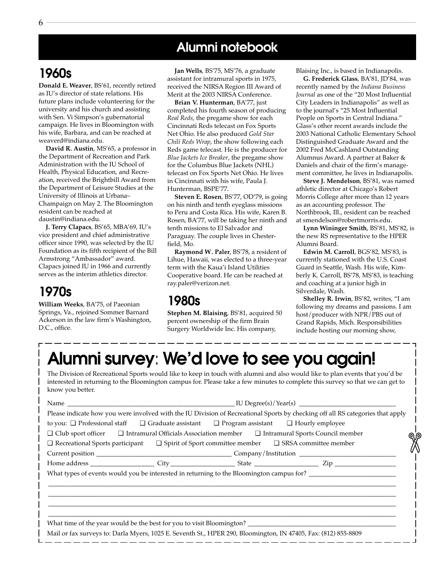### **Alumni notebook**

### **1960s**

**Donald E. Weaver**, BS'61, recently retired as IU's director of state relations. His future plans include volunteering for the university and his church and assisting with Sen. Vi Simpson's gubernatorial campaign. He lives in Bloomington with his wife, Barbara, and can be reached at weaverd@indiana.edu.

**David R. Austin**, MS'65, a professor in the Department of Recreation and Park Administration with the IU School of Health, Physical Education, and Recreation, received the Brightbill Award from the Department of Leisure Studies at the University of Illinois at Urbana– Champaign on May 2. The Bloomington resident can be reached at daustin@indiana.edu.

**J. Terry Clapacs**, BS'65, MBA'69, IU's vice president and chief administrative officer since 1990, was selected by the IU Foundation as its fifth recipient of the Bill Armstrong "Ambassador" award. Clapacs joined IU in 1966 and currently serves as the interim athletics director.

### **1970s**

**William Weeks**, BA'75, of Paeonian Springs, Va., rejoined Sommer Barnard Ackerson in the law firm's Washington, D.C., office.

**Jan Wells**, BS'75, MS'76, a graduate assistant for intramural sports in 1975, received the NIRSA Region III Award of Merit at the 2003 NIRSA Conference.

**Brian V. Hunterman**, BA'77, just completed his fourth season of producing *Real Reds*, the pregame show for each Cincinnati Reds telecast on Fox Sports Net Ohio. He also produced *Gold Star Chili Reds Wrap*, the show following each Reds game telecast. He is the producer for *Blue Jackets Ice Breaker*, the pregame show for the Columbus Blue Jackets (NHL) telecast on Fox Sports Net Ohio. He lives in Cincinnati with his wife, Paula J. Hunterman, BSPE'77.

**Steven E. Rosen**, BS'77, OD'79, is going on his ninth and tenth eyeglass missions to Peru and Costa Rica. His wife, Karen B. Rosen, BA'77, will be taking her ninth and tenth missions to El Salvador and Paraguay. The couple lives in Chesterfield, Mo.

**Raymond W. Paler**, BS'78, a resident of Lihue, Hawaii, was elected to a three-year term with the Kaua'i Island Utilities Cooperative board. He can be reached at ray.paler@verizon.net.

#### **1980s**

**Stephen M. Blaising**, BS'81, acquired 50 percent ownership of the firm Brain Surgery Worldwide Inc. His company,

Blaising Inc., is based in Indianapolis.

**G. Frederick Glass**, BA'81, JD'84, was recently named by the *Indiana Business Journal* as one of the "20 Most Influential City Leaders in Indianapolis" as well as to the journal's "25 Most Influential People on Sports in Central Indiana." Glass's other recent awards include the 2003 National Catholic Elementary School Distinguished Graduate Award and the 2002 Fred McCashland Outstanding Alumnus Award. A partner at Baker & Daniels and chair of the firm's management committee, he lives in Indianapolis.

**Steve J. Mendelson**, BS'81, was named athletic director at Chicago's Robert Morris College after more than 12 years as an accounting professor. The Northbrook, Ill., resident can be reached at smendelson@robertmorris.edu.

**Lynn Wininger Smith**, BS'81, MS'82, is the new RS representative to the HPER Alumni Board.

**Edwin M. Carroll**, BGS'82, MS'83, is currently stationed with the U.S. Coast Guard in Seattle, Wash. His wife, Kimberly K. Carroll, BS'78, MS'83, is teaching and coaching at a junior high in Silverdale, Wash.

**Shelley R. Irwin**, BS'82, writes, "I am following my dreams and passions. I am host/producer with NPR/PBS out of Grand Rapids, Mich. Responsibilities include hosting our morning show,

## **Alumni survey**: **We'd love to see you again!**

The Division of Recreational Sports would like to keep in touch with alumni and also would like to plan events that you'd be interested in returning to the Bloomington campus for. Please take a few minutes to complete this survey so that we can get to know you better.

| Please indicate how you were involved with the IU Division of Recreational Sports by checking off all RS categories that apply |  |  |  |  |
|--------------------------------------------------------------------------------------------------------------------------------|--|--|--|--|
| to you: □ Professional staff □ Graduate assistant □ Program assistant □ Hourly employee                                        |  |  |  |  |
| $\Box$ Club sport officer $\Box$ Intramural Officials Association member $\Box$ Intramural Sports Council member               |  |  |  |  |
| $\Box$ Recreational Sports participant $\Box$ Spirit of Sport committee member $\Box$ SRSA committee member                    |  |  |  |  |
|                                                                                                                                |  |  |  |  |
|                                                                                                                                |  |  |  |  |
|                                                                                                                                |  |  |  |  |
|                                                                                                                                |  |  |  |  |
|                                                                                                                                |  |  |  |  |
|                                                                                                                                |  |  |  |  |
|                                                                                                                                |  |  |  |  |
|                                                                                                                                |  |  |  |  |
| Mail or fax surveys to: Darla Myers, 1025 E. Seventh St., HPER 290, Bloomington, IN 47405, Fax: (812) 855-8809                 |  |  |  |  |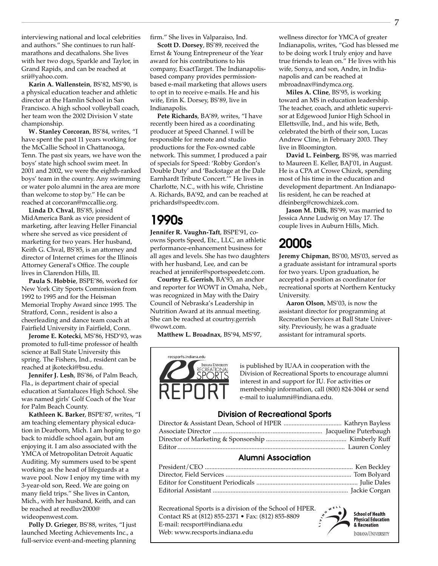interviewing national and local celebrities and authors." She continues to run halfmarathons and decathalons. She lives with her two dogs, Sparkle and Taylor, in Grand Rapids, and can be reached at srii@yahoo.com.

**Karin A. Wallenstein**, BS'82, MS'90, is a physical education teacher and athletic director at the Hamlin School in San Francisco. A high school volleyball coach, her team won the 2002 Division V state championship.

**W. Stanley Corcoran**, BS'84, writes, "I have spent the past 11 years working for the McCallie School in Chattanooga, Tenn. The past six years, we have won the boys' state high school swim meet. In 2001 and 2002, we were the eighth-ranked boys' team in the country. Any swimming or water polo alumni in the area are more than welcome to stop by." He can be reached at corcoran@mccallie.org.

**Linda D. Chval**, BS'85, joined MidAmerica Bank as vice president of marketing, after leaving Heller Financial where she served as vice president of marketing for two years. Her husband, Keith G. Chval, BS'85, is an attorney and director of Internet crimes for the Illinois Attorney General's Office. The couple lives in Clarendon Hills, Ill.

**Paula S. Hobbie**, BSPE'86, worked for New York City Sports Commission from 1992 to 1995 and for the Heisman Memorial Trophy Award since 1995. The Stratford, Conn., resident is also a cheerleading and dance team coach at Fairfield University in Fairfield, Conn.

**Jerome E. Kotecki**, MS'86, HSD'93, was promoted to full-time professor of health science at Ball State University this spring. The Fishers, Ind., resident can be reached at jkotecki@bsu.edu.

**Jennifer J. Lesh**, BS'86, of Palm Beach, Fla., is department chair of special education at Santaluces High School. She was named girls' Golf Coach of the Year for Palm Beach County.

**Kathleen K. Barker**, BSPE'87, writes, "I am teaching elementary physical education in Dearborn, Mich. I am hoping to go back to middle school again, but am enjoying it. I am also associated with the YMCA of Metropolitan Detroit Aquatic Auditing. My summers used to be spent working as the head of lifeguards at a wave pool. Now I enjoy my time with my 3-year-old son, Reed. We are going on many field trips." She lives in Canton, Mich., with her husband, Keith, and can be reached at reedluv2000@ wideopenwest.com.

**Polly D. Grieger**, BS'88, writes, "I just launched Meeting Achievements Inc., a full-service event-and-meeting planning

firm." She lives in Valparaiso, Ind.

**Scott D. Dorsey**, BS'89, received the Ernst & Young Entrepreneur of the Year award for his contributions to his company, ExactTarget. The Indianapolisbased company provides permissionbased e-mail marketing that allows users to opt in to receive e-mails. He and his wife, Erin K. Dorsey, BS'89, live in Indianapolis.

**Pete Richards**, BA'89, writes, "I have recently been hired as a coordinating producer at Speed Channel. I will be responsible for remote and studio productions for the Fox-owned cable network. This summer, I produced a pair of specials for Speed: 'Robby Gordon's Double Duty' and 'Backstage at the Dale Earnhardt Tribute Concert.'" He lives in Charlotte, N.C., with his wife, Christine A. Richards, BA'92, and can be reached at prichards@speedtv.com.

#### **1990s**

**Jennifer R. Vaughn-Taft**, BSPE'91, coowns Sports Speed, Etc., LLC, an athletic performance-enhancement business for all ages and levels. She has two daughters with her husband, Lee, and can be reached at jennifer@sportsspeedetc.com.

**Courtny E. Gerrish**, BA'93, an anchor and reporter for WOWT in Omaha, Neb., was recognized in May with the Dairy Council of Nebraska's Leadership in Nutrition Award at its annual meeting. She can be reached at courtny.gerrish @wowt.com.

**Matthew L. Broadnax**, BS'94, MS'97,

wellness director for YMCA of greater Indianapolis, writes, "God has blessed me to be doing work I truly enjoy and have true friends to lean on." He lives with his wife, Sonya, and son, Andre, in Indianapolis and can be reached at mbroadnax@indymca.org.

**Miles A. Cline**, BS'95, is working toward an MS in education leadership. The teacher, coach, and athletic supervisor at Edgewood Junior High School in Ellettsville, Ind., and his wife, Beth, celebrated the birth of their son, Lucas Andrew Cline, in February 2003. They live in Bloomington.

**David L. Feinberg**, BS'98, was married to Maureen E. Keller, BAJ'01, in August. He is a CPA at Crowe Chizek, spending most of his time in the education and development department. An Indianapolis resident, he can be reached at dfeinberg@crowchizek.com.

**Jason M. Dilk**, BS'99, was married to Jessica Anne Ludwig on May 17. The couple lives in Auburn Hills, Mich.

### **2000s**

**Jeremy Chipman**, BS'00, MS'03, served as a graduate assistant for intramural sports for two years. Upon graduation, he accepted a position as coordinator for recreational sports at Northern Kentucky University.

**Aaron Olson**, MS'03, is now the assistant director for programming at Recreation Services at Ball State University. Previously, he was a graduate assistant for intramural sports.



is published by IUAA in cooperation with the Division of Recreational Sports to encourage alumni interest in and support for IU. For activities or membership information, call (800) 824-3044 or send e-mail to iualumni@indiana.edu.

#### **Division of Recreational Sports**

| <b>Alumni Association</b> |  |  |  |
|---------------------------|--|--|--|
|                           |  |  |  |
|                           |  |  |  |
|                           |  |  |  |
|                           |  |  |  |

Recreational Sports is a division of the School of HPER. Contact RS at (812) 855-2371 • Fax: (812) 855-8809 E-mail: recsport@indiana.edu Web: www.recsports.indiana.edu



**School of Health** stheer of fiction<br>Physical Education & Recreation **INDIANA UNIVERSITY**